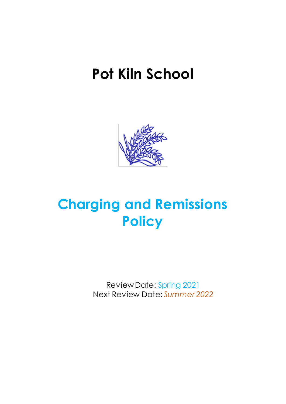# **Pot Kiln School**



# **Charging and Remissions Policy**

Review Date: Spring 2021 Next Review Date: *Summer 2022*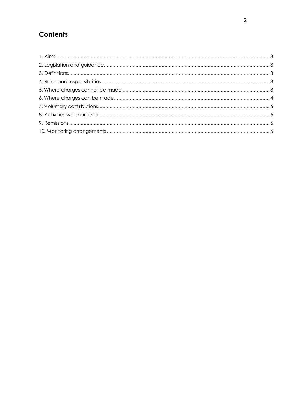# Contents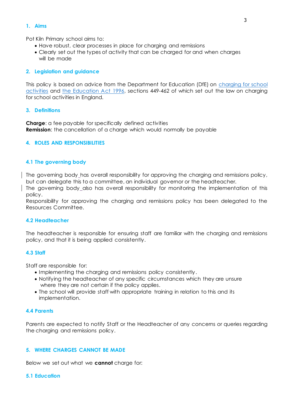#### <span id="page-2-0"></span>**1. Aims**

Pot Kiln Primary school aims to:

- Have robust, clear processes in place for charging and remissions
- Clearly set out the types of activity that can be charged for and when charges will be made

# <span id="page-2-1"></span>**2. Legislation and guidance**

This policy is based on advice from the Department for Education (DfE) on [charging for school](https://www.gov.uk/government/publications/charging-for-school-activities)  [activities](https://www.gov.uk/government/publications/charging-for-school-activities) and [the Education Act 1996,](http://www.legislation.gov.uk/ukpga/1996/56/part/VI/chapter/III) sections 449-462 of which set out the law on charging for school activities in England.

# <span id="page-2-2"></span>**3. Definitions**

**Charge**: a fee payable for specifically defined activities **Remission**: the cancellation of a charge which would normally be payable

# <span id="page-2-3"></span>**4. ROLES AND RESPONSIBILITIES**

# **4.1 The governing body**

The governing body has overall responsibility for approving the charging and remissions policy, but can delegate this to a committee, an individual governor or the headteacher.

The governing body also has overall responsibility for monitoring the implementation of this policy.

Responsibility for approving the charging and remissions policy has been delegated to the Resources Committee.

# **4.2 Headteacher**

The headteacher is responsible for ensuring staff are familiar with the charging and remissions policy, and that it is being applied consistently.

# **4.3 Staff**

Staff are responsible for:

- Implementing the charging and remissions policy consistently.
- Notifying the headteacher of any specific circumstances which they are unsure where they are not certain if the policy applies.
- The school will provide staff with appropriate training in relation to this and its implementation.

# **4.4 Parents**

Parents are expected to notify Staff or the Headteacher of any concerns or queries regarding the charging and remissions policy.

# <span id="page-2-4"></span>**5. WHERE CHARGES CANNOT BE MADE**

Below we set out what we **cannot** charge for:

#### **5.1 Education**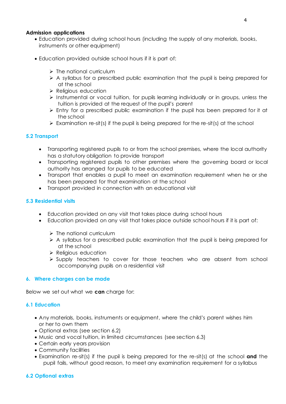# **Admission applications**

- Education provided during school hours (including the supply of any materials, books, instruments or other equipment)
- Education provided outside school hours if it is part of:
	- $\triangleright$  The national curriculum
	- $\triangleright$  A syllabus for a prescribed public examination that the pupil is being prepared for at the school
	- ➢ Religious education
	- ➢ Instrumental or vocal tuition, for pupils learning individually or in groups, unless the tuition is provided at the request of the pupil's parent
	- ➢ Entry for a prescribed public examination if the pupil has been prepared for it at the school
	- $\triangleright$  Examination re-sit(s) if the pupil is being prepared for the re-sit(s) at the school

# **5.2 Transport**

- Transporting registered pupils to or from the school premises, where the local authority has a statutory obligation to provide transport
- Transporting registered pupils to other premises where the governing board or local authority has arranged for pupils to be educated
- Transport that enables a pupil to meet an examination requirement when he or she has been prepared for that examination at the school
- Transport provided in connection with an educational visit

# **5.3 Residential visits**

- Education provided on any visit that takes place during school hours
- Education provided on any visit that takes place outside school hours if it is part of:
	- $\triangleright$  The national curriculum
	- $\triangleright$  A syllabus for a prescribed public examination that the pupil is being prepared for at the school
	- ➢ Religious education
	- ➢ Supply teachers to cover for those teachers who are absent from school accompanying pupils on a residential visit

# <span id="page-3-0"></span>**6. Where charges can be made**

Below we set out what we **can** charge for:

# **6.1 Education**

- Any materials, books, instruments or equipment, where the child's parent wishes him or her to own them
- Optional extras (see section 6.2)
- Music and vocal tuition, in limited circumstances (see section 6.3)
- Certain early years provision
- Community facilities
- Examination re-sit(s) if the pupil is being prepared for the re-sit(s) at the school **and** the pupil fails, without good reason, to meet any examination requirement for a syllabus

# **6.2 Optional extras**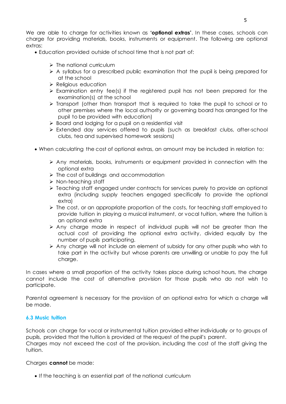We are able to charge for activities known as **'optional extras'**. In these cases, schools can charge for providing materials, books, instruments or equipment. The following are optional extras:

- Education provided outside of school time that is not part of:
	- ➢ The national curriculum
	- $\triangleright$  A syllabus for a prescribed public examination that the pupil is being prepared for at the school
	- ➢ Religious education
	- ➢ Examination entry fee(s) if the registered pupil has not been prepared for the examination(s) at the school
	- ➢ Transport (other than transport that is required to take the pupil to school or to other premises where the local authority or governing board has arranged for the pupil to be provided with education)
	- ➢ Board and lodging for a pupil on a residential visit
	- ➢ Extended day services offered to pupils (such as breakfast clubs, after-school clubs, tea and supervised homework sessions)
- When calculating the cost of optional extras, an amount may be included in relation to:
	- ➢ Any materials, books, instruments or equipment provided in connection with the optional extra
	- ➢ The cost of buildings and accommodation
	- ➢ Non-teaching staff
	- ➢ Teaching staff engaged under contracts for services purely to provide an optional extra (including supply teachers engaged specifically to provide the optional extra)
	- ➢ The cost, or an appropriate proportion of the costs, for teaching staff employed to provide tuition in playing a musical instrument, or vocal tuition, where the tuition is an optional extra
	- ➢ Any charge made in respect of individual pupils will not be greater than the actual cost of providing the optional extra activity, divided equally by the number of pupils participating.
	- ➢ Any charge will not include an element of subsidy for any other pupils who wish to take part in the activity but whose parents are unwilling or unable to pay the full charge.

In cases where a small proportion of the activity takes place during school hours, the charge cannot include the cost of alternative provision for those pupils who do not wish to participate.

Parental agreement is necessary for the provision of an optional extra for which a charge will be made.

# **6.3 Music tuition**

Schools can charge for vocal or instrumental tuition provided either individually or to groups of pupils, provided that the tuition is provided at the request of the pupil's parent.

Charges may not exceed the cost of the provision, including the cost of the staff giving the tuition.

Charges **cannot** be made:

• If the teaching is an essential part of the national curriculum